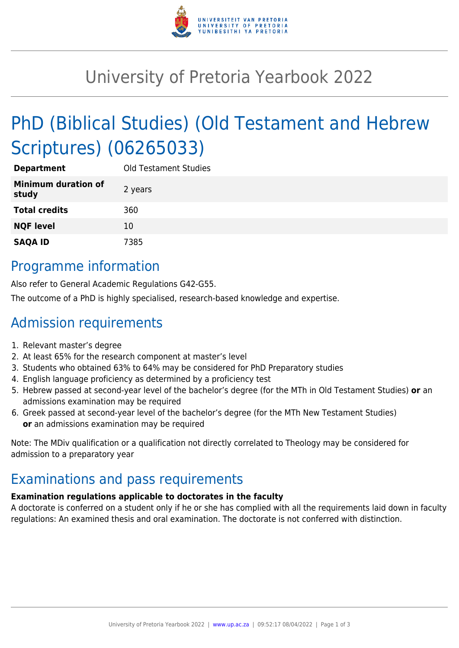

# University of Pretoria Yearbook 2022

# PhD (Biblical Studies) (Old Testament and Hebrew Scriptures) (06265033)

| <b>Department</b>                   | <b>Old Testament Studies</b> |
|-------------------------------------|------------------------------|
| <b>Minimum duration of</b><br>study | 2 years                      |
| <b>Total credits</b>                | 360                          |
| <b>NQF level</b>                    | 10                           |
| <b>SAQA ID</b>                      | 7385                         |

### Programme information

Also refer to General Academic Regulations G42-G55.

The outcome of a PhD is highly specialised, research-based knowledge and expertise.

## Admission requirements

- 1. Relevant master's degree
- 2. At least 65% for the research component at master's level
- 3. Students who obtained 63% to 64% may be considered for PhD Preparatory studies
- 4. English language proficiency as determined by a proficiency test
- 5. Hebrew passed at second-year level of the bachelor's degree (for the MTh in Old Testament Studies) **or** an admissions examination may be required
- 6. Greek passed at second-year level of the bachelor's degree (for the MTh New Testament Studies) **or** an admissions examination may be required

Note: The MDiv qualification or a qualification not directly correlated to Theology may be considered for admission to a preparatory year

## Examinations and pass requirements

#### **Examination regulations applicable to doctorates in the faculty**

A doctorate is conferred on a student only if he or she has complied with all the requirements laid down in faculty regulations: An examined thesis and oral examination. The doctorate is not conferred with distinction.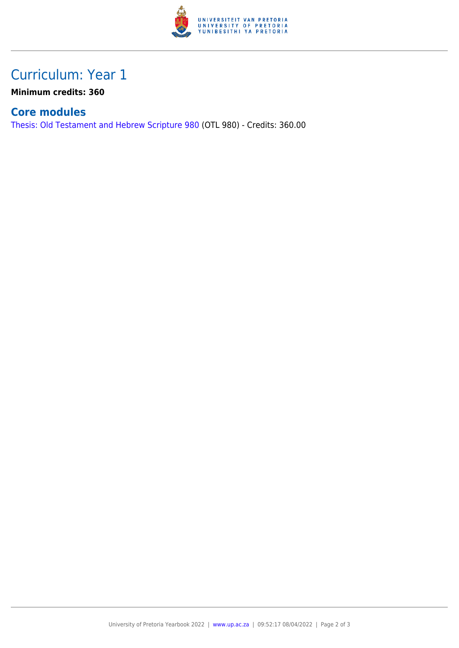

## Curriculum: Year 1

**Minimum credits: 360**

### **Core modules**

[Thesis: Old Testament and Hebrew Scripture 980](https://www.up.ac.za/faculty-of-education/yearbooks/2022/modules/view/OTL 980) (OTL 980) - Credits: 360.00